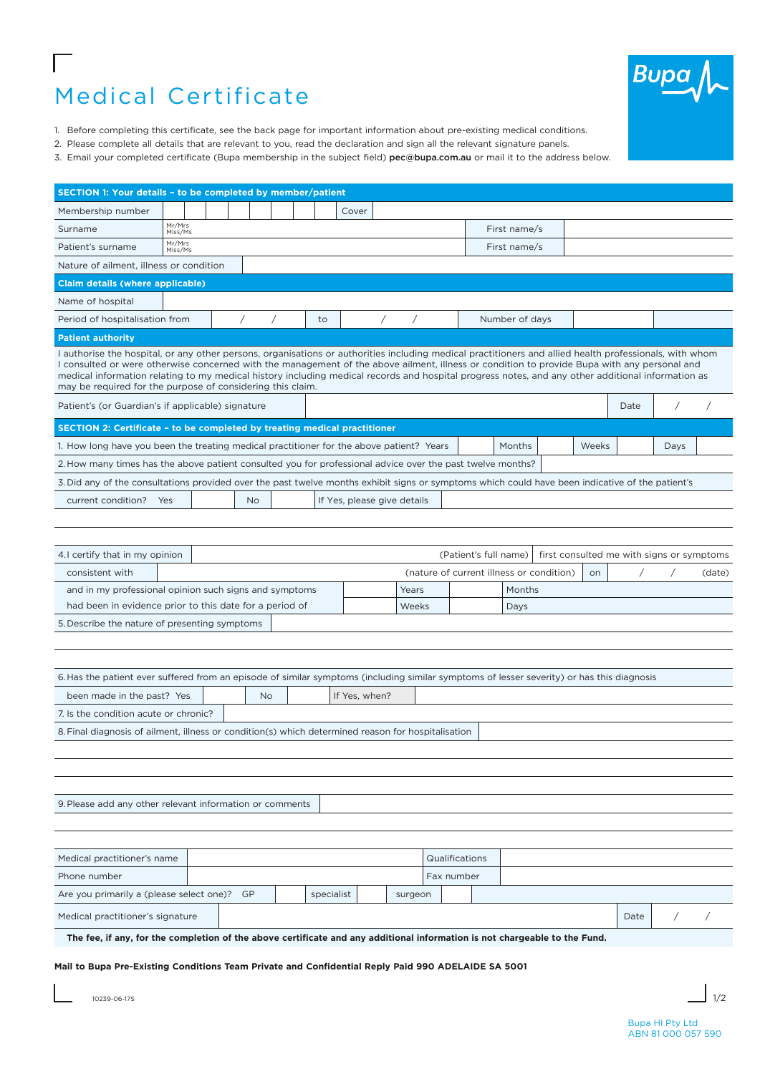# Medical Certificate



- 1. Before completing this certificate, see the back page for important information about pre-existing medical conditions.
- 2. Please complete all details that are relevant to you, read the declaration and sign all the relevant signature panels.
- 3. Email your completed certificate (Bupa membership in the subject field) [pec@bupa.com.au](http://pec@bupa.com.au) or mail it to the address below.

| SECTION 1: Your details - to be completed by member/patient                                                                                                                                                                                                                                                                                                                                                                                                                                                                |                                         |  |  |               |            |    |       |            |            |  |                              |                                          |  |           |      |                                           |        |
|----------------------------------------------------------------------------------------------------------------------------------------------------------------------------------------------------------------------------------------------------------------------------------------------------------------------------------------------------------------------------------------------------------------------------------------------------------------------------------------------------------------------------|-----------------------------------------|--|--|---------------|------------|----|-------|------------|------------|--|------------------------------|------------------------------------------|--|-----------|------|-------------------------------------------|--------|
| Membership number                                                                                                                                                                                                                                                                                                                                                                                                                                                                                                          |                                         |  |  |               |            |    | Cover |            |            |  |                              |                                          |  |           |      |                                           |        |
| Surname                                                                                                                                                                                                                                                                                                                                                                                                                                                                                                                    | Mr/Mrs<br>Miss/Ms                       |  |  |               |            |    |       |            |            |  |                              | First name/s                             |  |           |      |                                           |        |
| Patient's surname                                                                                                                                                                                                                                                                                                                                                                                                                                                                                                          | Mr/Mrs<br>Miss/Ms                       |  |  |               |            |    |       |            |            |  |                              | First name/s                             |  |           |      |                                           |        |
| Nature of ailment, illness or condition                                                                                                                                                                                                                                                                                                                                                                                                                                                                                    |                                         |  |  |               |            |    |       |            |            |  |                              |                                          |  |           |      |                                           |        |
|                                                                                                                                                                                                                                                                                                                                                                                                                                                                                                                            | <b>Claim details (where applicable)</b> |  |  |               |            |    |       |            |            |  |                              |                                          |  |           |      |                                           |        |
| Name of hospital                                                                                                                                                                                                                                                                                                                                                                                                                                                                                                           |                                         |  |  |               |            |    |       |            |            |  |                              |                                          |  |           |      |                                           |        |
| Period of hospitalisation from                                                                                                                                                                                                                                                                                                                                                                                                                                                                                             |                                         |  |  | $\sqrt{2}$    | $\sqrt{2}$ | to |       | $\sqrt{2}$ | $\sqrt{2}$ |  |                              | Number of days                           |  |           |      |                                           |        |
| <b>Patient authority</b>                                                                                                                                                                                                                                                                                                                                                                                                                                                                                                   |                                         |  |  |               |            |    |       |            |            |  |                              |                                          |  |           |      |                                           |        |
| I authorise the hospital, or any other persons, organisations or authorities including medical practitioners and allied health professionals, with whom<br>I consulted or were otherwise concerned with the management of the above ailment, illness or condition to provide Bupa with any personal and<br>medical information relating to my medical history including medical records and hospital progress notes, and any other additional information as<br>may be required for the purpose of considering this claim. |                                         |  |  |               |            |    |       |            |            |  |                              |                                          |  |           |      |                                           |        |
| Patient's (or Guardian's if applicable) signature                                                                                                                                                                                                                                                                                                                                                                                                                                                                          |                                         |  |  |               |            |    |       |            |            |  |                              |                                          |  |           | Date | $\sqrt{2}$                                |        |
| SECTION 2: Certificate - to be completed by treating medical practitioner                                                                                                                                                                                                                                                                                                                                                                                                                                                  |                                         |  |  |               |            |    |       |            |            |  |                              |                                          |  |           |      |                                           |        |
| 1. How long have you been the treating medical practitioner for the above patient? Years                                                                                                                                                                                                                                                                                                                                                                                                                                   |                                         |  |  |               |            |    |       |            |            |  |                              | Months                                   |  | Weeks     |      | Days                                      |        |
| 2. How many times has the above patient consulted you for professional advice over the past twelve months?                                                                                                                                                                                                                                                                                                                                                                                                                 |                                         |  |  |               |            |    |       |            |            |  |                              |                                          |  |           |      |                                           |        |
| 3. Did any of the consultations provided over the past twelve months exhibit signs or symptoms which could have been indicative of the patient's                                                                                                                                                                                                                                                                                                                                                                           |                                         |  |  |               |            |    |       |            |            |  |                              |                                          |  |           |      |                                           |        |
| current condition?<br>If Yes, please give details<br>Yes<br><b>No</b>                                                                                                                                                                                                                                                                                                                                                                                                                                                      |                                         |  |  |               |            |    |       |            |            |  |                              |                                          |  |           |      |                                           |        |
|                                                                                                                                                                                                                                                                                                                                                                                                                                                                                                                            |                                         |  |  |               |            |    |       |            |            |  |                              |                                          |  |           |      |                                           |        |
|                                                                                                                                                                                                                                                                                                                                                                                                                                                                                                                            |                                         |  |  |               |            |    |       |            |            |  |                              |                                          |  |           |      |                                           |        |
| 4.1 certify that in my opinion                                                                                                                                                                                                                                                                                                                                                                                                                                                                                             |                                         |  |  |               |            |    |       |            |            |  | (Patient's full name)        |                                          |  |           |      | first consulted me with signs or symptoms |        |
| consistent with                                                                                                                                                                                                                                                                                                                                                                                                                                                                                                            |                                         |  |  |               |            |    |       |            |            |  |                              | (nature of current illness or condition) |  | <b>on</b> |      |                                           | (date) |
| and in my professional opinion such signs and symptoms                                                                                                                                                                                                                                                                                                                                                                                                                                                                     |                                         |  |  |               |            |    |       | Years      |            |  | Months                       |                                          |  |           |      |                                           |        |
| had been in evidence prior to this date for a period of                                                                                                                                                                                                                                                                                                                                                                                                                                                                    |                                         |  |  |               |            |    |       |            | Weeks      |  |                              | Days                                     |  |           |      |                                           |        |
| 5. Describe the nature of presenting symptoms                                                                                                                                                                                                                                                                                                                                                                                                                                                                              |                                         |  |  |               |            |    |       |            |            |  |                              |                                          |  |           |      |                                           |        |
|                                                                                                                                                                                                                                                                                                                                                                                                                                                                                                                            |                                         |  |  |               |            |    |       |            |            |  |                              |                                          |  |           |      |                                           |        |
|                                                                                                                                                                                                                                                                                                                                                                                                                                                                                                                            |                                         |  |  |               |            |    |       |            |            |  |                              |                                          |  |           |      |                                           |        |
| 6. Has the patient ever suffered from an episode of similar symptoms (including similar symptoms of lesser severity) or has this diagnosis                                                                                                                                                                                                                                                                                                                                                                                 |                                         |  |  |               |            |    |       |            |            |  |                              |                                          |  |           |      |                                           |        |
| been made in the past? Yes<br><b>No</b>                                                                                                                                                                                                                                                                                                                                                                                                                                                                                    |                                         |  |  | If Yes, when? |            |    |       |            |            |  |                              |                                          |  |           |      |                                           |        |
| 7. Is the condition acute or chronic?                                                                                                                                                                                                                                                                                                                                                                                                                                                                                      |                                         |  |  |               |            |    |       |            |            |  |                              |                                          |  |           |      |                                           |        |
| 8. Final diagnosis of ailment, illness or condition(s) which determined reason for hospitalisation                                                                                                                                                                                                                                                                                                                                                                                                                         |                                         |  |  |               |            |    |       |            |            |  |                              |                                          |  |           |      |                                           |        |
|                                                                                                                                                                                                                                                                                                                                                                                                                                                                                                                            |                                         |  |  |               |            |    |       |            |            |  |                              |                                          |  |           |      |                                           |        |
|                                                                                                                                                                                                                                                                                                                                                                                                                                                                                                                            |                                         |  |  |               |            |    |       |            |            |  |                              |                                          |  |           |      |                                           |        |
| 9. Please add any other relevant information or comments                                                                                                                                                                                                                                                                                                                                                                                                                                                                   |                                         |  |  |               |            |    |       |            |            |  |                              |                                          |  |           |      |                                           |        |
|                                                                                                                                                                                                                                                                                                                                                                                                                                                                                                                            |                                         |  |  |               |            |    |       |            |            |  |                              |                                          |  |           |      |                                           |        |
|                                                                                                                                                                                                                                                                                                                                                                                                                                                                                                                            |                                         |  |  |               |            |    |       |            |            |  |                              |                                          |  |           |      |                                           |        |
|                                                                                                                                                                                                                                                                                                                                                                                                                                                                                                                            | Medical practitioner's name             |  |  |               |            |    |       |            |            |  |                              |                                          |  |           |      |                                           |        |
| Phone number                                                                                                                                                                                                                                                                                                                                                                                                                                                                                                               |                                         |  |  |               |            |    |       |            |            |  | Qualifications<br>Fax number |                                          |  |           |      |                                           |        |
| Are you primarily a (please select one)? GP<br>specialist                                                                                                                                                                                                                                                                                                                                                                                                                                                                  |                                         |  |  |               |            |    |       | surgeon    |            |  |                              |                                          |  |           |      |                                           |        |
| Medical practitioner's signature                                                                                                                                                                                                                                                                                                                                                                                                                                                                                           |                                         |  |  |               |            |    |       |            |            |  |                              |                                          |  |           | Date |                                           |        |
| The fee, if any, for the completion of the above certificate and any additional information is not chargeable to the Fund.                                                                                                                                                                                                                                                                                                                                                                                                 |                                         |  |  |               |            |    |       |            |            |  |                              |                                          |  |           |      |                                           |        |
|                                                                                                                                                                                                                                                                                                                                                                                                                                                                                                                            |                                         |  |  |               |            |    |       |            |            |  |                              |                                          |  |           |      |                                           |        |

**Mail to Bupa Pre-Existing Conditions Team Private and Confidential Reply Paid 990 ADELAIDE SA 5001**